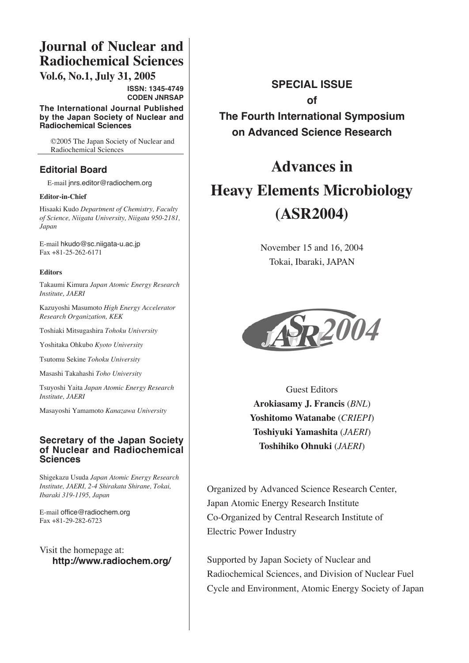## **Journal of Nuclear and Radiochemical Sciences**

**Vol.6, No.1, July 31, 2005**

**ISSN: 1345-4749 CODEN JNRSAP**

**The International Journal Published by the Japan Society of Nuclear and Radiochemical Sciences**

©2005 The Japan Society of Nuclear and Radiochemical Sciences

#### **Editorial Board**

E-mail jnrs.editor@radiochem.org

#### **Editor-in-Chief**

Hisaaki Kudo *Department of Chemistry, Faculty of Science, Niigata University, Niigata 950-2181, Japan*

E-mail hkudo@sc.niigata-u.ac.jp Fax +81-25-262-6171

#### **Editors**

Takaumi Kimura *Japan Atomic Energy Research Institute, JAERI*

Kazuyoshi Masumoto *High Energy Accelerator Research Organization, KEK*

Toshiaki Mitsugashira *Tohoku University*

Yoshitaka Ohkubo *Kyoto University*

Tsutomu Sekine *Tohoku University*

Masashi Takahashi *Toho University*

Tsuyoshi Yaita *Japan Atomic Energy Research Institute, JAERI*

Masayoshi Yamamoto *Kanazawa University*

#### **Secretary of the Japan Society of Nuclear and Radiochemical Sciences**

Shigekazu Usuda *Japan Atomic Energy Research Institute, JAERI, 2-4 Shirakata Shirane, Tokai, Ibaraki 319-1195, Japan*

E-mail office@radiochem.org Fax +81-29-282-6723

Visit the homepage at: **http://www.radiochem.org/**

## **SPECIAL ISSUE of**

**The Fourth International Symposium on Advanced Science Research**

# **Advances in Heavy Elements Microbiology (ASR2004)**

November 15 and 16, 2004 Tokai, Ibaraki, JAPAN



Guest Editors **Arokiasamy J. Francis** (*BNL*) **Yoshitomo Watanabe** (*CRIEPI*) **Toshiyuki Yamashita** (*JAERI*) **Toshihiko Ohnuki** (*JAERI*)

Organized by Advanced Science Research Center, Japan Atomic Energy Research Institute Co-Organized by Central Research Institute of Electric Power Industry

Supported by Japan Society of Nuclear and Radiochemical Sciences, and Division of Nuclear Fuel Cycle and Environment, Atomic Energy Society of Japan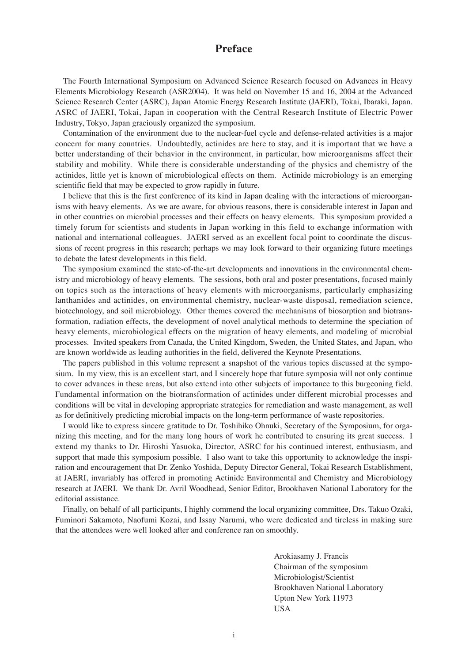#### **Preface**

The Fourth International Symposium on Advanced Science Research focused on Advances in Heavy Elements Microbiology Research (ASR2004). It was held on November 15 and 16, 2004 at the Advanced Science Research Center (ASRC), Japan Atomic Energy Research Institute (JAERI), Tokai, Ibaraki, Japan. ASRC of JAERI, Tokai, Japan in cooperation with the Central Research Institute of Electric Power Industry, Tokyo, Japan graciously organized the symposium.

Contamination of the environment due to the nuclear-fuel cycle and defense-related activities is a major concern for many countries. Undoubtedly, actinides are here to stay, and it is important that we have a better understanding of their behavior in the environment, in particular, how microorganisms affect their stability and mobility. While there is considerable understanding of the physics and chemistry of the actinides, little yet is known of microbiological effects on them. Actinide microbiology is an emerging scientific field that may be expected to grow rapidly in future.

I believe that this is the first conference of its kind in Japan dealing with the interactions of microorganisms with heavy elements. As we are aware, for obvious reasons, there is considerable interest in Japan and in other countries on microbial processes and their effects on heavy elements. This symposium provided a timely forum for scientists and students in Japan working in this field to exchange information with national and international colleagues. JAERI served as an excellent focal point to coordinate the discussions of recent progress in this research; perhaps we may look forward to their organizing future meetings to debate the latest developments in this field.

The symposium examined the state-of-the-art developments and innovations in the environmental chemistry and microbiology of heavy elements. The sessions, both oral and poster presentations, focused mainly on topics such as the interactions of heavy elements with microorganisms, particularly emphasizing lanthanides and actinides, on environmental chemistry, nuclear-waste disposal, remediation science, biotechnology, and soil microbiology. Other themes covered the mechanisms of biosorption and biotransformation, radiation effects, the development of novel analytical methods to determine the speciation of heavy elements, microbiological effects on the migration of heavy elements, and modeling of microbial processes. Invited speakers from Canada, the United Kingdom, Sweden, the United States, and Japan, who are known worldwide as leading authorities in the field, delivered the Keynote Presentations.

The papers published in this volume represent a snapshot of the various topics discussed at the symposium. In my view, this is an excellent start, and I sincerely hope that future symposia will not only continue to cover advances in these areas, but also extend into other subjects of importance to this burgeoning field. Fundamental information on the biotransformation of actinides under different microbial processes and conditions will be vital in developing appropriate strategies for remediation and waste management, as well as for definitively predicting microbial impacts on the long-term performance of waste repositories.

I would like to express sincere gratitude to Dr. Toshihiko Ohnuki, Secretary of the Symposium, for organizing this meeting, and for the many long hours of work he contributed to ensuring its great success. I extend my thanks to Dr. Hiroshi Yasuoka, Director, ASRC for his continued interest, enthusiasm, and support that made this symposium possible. I also want to take this opportunity to acknowledge the inspiration and encouragement that Dr. Zenko Yoshida, Deputy Director General, Tokai Research Establishment, at JAERI, invariably has offered in promoting Actinide Environmental and Chemistry and Microbiology research at JAERI. We thank Dr. Avril Woodhead, Senior Editor, Brookhaven National Laboratory for the editorial assistance.

Finally, on behalf of all participants, I highly commend the local organizing committee, Drs. Takuo Ozaki, Fuminori Sakamoto, Naofumi Kozai, and Issay Narumi, who were dedicated and tireless in making sure that the attendees were well looked after and conference ran on smoothly.

> Arokiasamy J. Francis Chairman of the symposium Microbiologist/Scientist Brookhaven National Laboratory Upton New York 11973 USA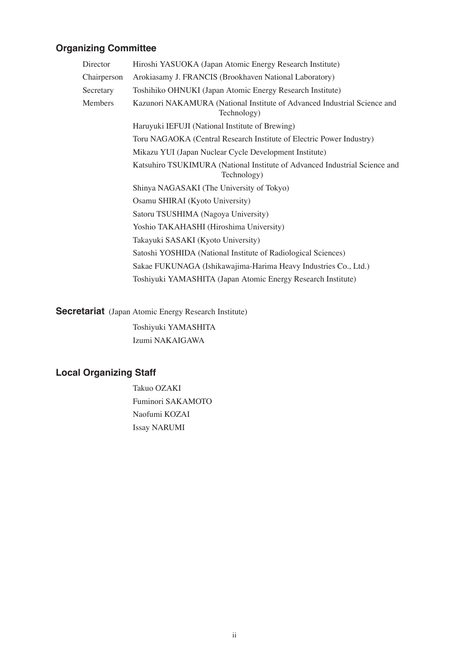### **Organizing Committee**

| Director    | Hiroshi YASUOKA (Japan Atomic Energy Research Institute)                                  |
|-------------|-------------------------------------------------------------------------------------------|
| Chairperson | Arokiasamy J. FRANCIS (Brookhaven National Laboratory)                                    |
| Secretary   | Toshihiko OHNUKI (Japan Atomic Energy Research Institute)                                 |
| Members     | Kazunori NAKAMURA (National Institute of Advanced Industrial Science and<br>Technology)   |
|             | Haruyuki IEFUJI (National Institute of Brewing)                                           |
|             | Toru NAGAOKA (Central Research Institute of Electric Power Industry)                      |
|             | Mikazu YUI (Japan Nuclear Cycle Development Institute)                                    |
|             | Katsuhiro TSUKIMURA (National Institute of Advanced Industrial Science and<br>Technology) |
|             | Shinya NAGASAKI (The University of Tokyo)                                                 |
|             | Osamu SHIRAI (Kyoto University)                                                           |
|             | Satoru TSUSHIMA (Nagoya University)                                                       |
|             | Yoshio TAKAHASHI (Hiroshima University)                                                   |
|             | Takayuki SASAKI (Kyoto University)                                                        |
|             | Satoshi YOSHIDA (National Institute of Radiological Sciences)                             |
|             | Sakae FUKUNAGA (Ishikawajima-Harima Heavy Industries Co., Ltd.)                           |
|             | Toshiyuki YAMASHITA (Japan Atomic Energy Research Institute)                              |

**Secretariat** (Japan Atomic Energy Research Institute)

Toshiyuki YAMASHITA Izumi NAKAIGAWA

## **Local Organizing Staff**

Takuo OZAKI Fuminori SAKAMOTO Naofumi KOZAI Issay NARUMI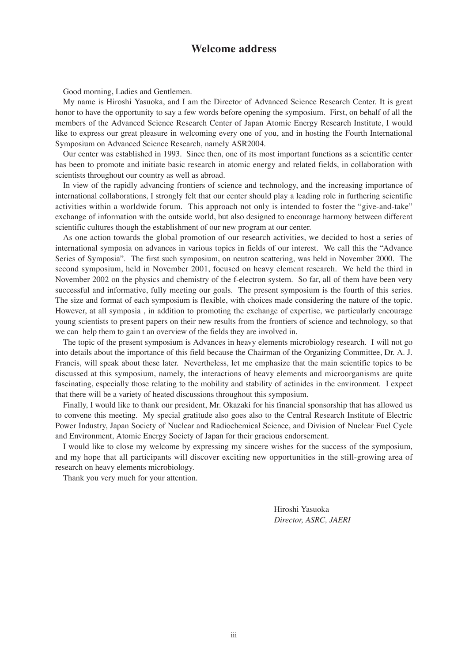#### **Welcome address**

Good morning, Ladies and Gentlemen.

My name is Hiroshi Yasuoka, and I am the Director of Advanced Science Research Center. It is great honor to have the opportunity to say a few words before opening the symposium. First, on behalf of all the members of the Advanced Science Research Center of Japan Atomic Energy Research Institute, I would like to express our great pleasure in welcoming every one of you, and in hosting the Fourth International Symposium on Advanced Science Research, namely ASR2004.

Our center was established in 1993. Since then, one of its most important functions as a scientific center has been to promote and initiate basic research in atomic energy and related fields, in collaboration with scientists throughout our country as well as abroad.

In view of the rapidly advancing frontiers of science and technology, and the increasing importance of international collaborations, I strongly felt that our center should play a leading role in furthering scientific activities within a worldwide forum. This approach not only is intended to foster the "give-and-take" exchange of information with the outside world, but also designed to encourage harmony between different scientific cultures though the establishment of our new program at our center.

As one action towards the global promotion of our research activities, we decided to host a series of international symposia on advances in various topics in fields of our interest. We call this the "Advance Series of Symposia". The first such symposium, on neutron scattering, was held in November 2000. The second symposium, held in November 2001, focused on heavy element research. We held the third in November 2002 on the physics and chemistry of the f-electron system. So far, all of them have been very successful and informative, fully meeting our goals. The present symposium is the fourth of this series. The size and format of each symposium is flexible, with choices made considering the nature of the topic. However, at all symposia , in addition to promoting the exchange of expertise, we particularly encourage young scientists to present papers on their new results from the frontiers of science and technology, so that we can help them to gain t an overview of the fields they are involved in.

The topic of the present symposium is Advances in heavy elements microbiology research. I will not go into details about the importance of this field because the Chairman of the Organizing Committee, Dr. A. J. Francis, will speak about these later. Nevertheless, let me emphasize that the main scientific topics to be discussed at this symposium, namely, the interactions of heavy elements and microorganisms are quite fascinating, especially those relating to the mobility and stability of actinides in the environment. I expect that there will be a variety of heated discussions throughout this symposium.

Finally, I would like to thank our president, Mr. Okazaki for his financial sponsorship that has allowed us to convene this meeting. My special gratitude also goes also to the Central Research Institute of Electric Power Industry, Japan Society of Nuclear and Radiochemical Science, and Division of Nuclear Fuel Cycle and Environment, Atomic Energy Society of Japan for their gracious endorsement.

I would like to close my welcome by expressing my sincere wishes for the success of the symposium, and my hope that all participants will discover exciting new opportunities in the still-growing area of research on heavy elements microbiology.

Thank you very much for your attention.

Hiroshi Yasuoka *Director, ASRC, JAERI*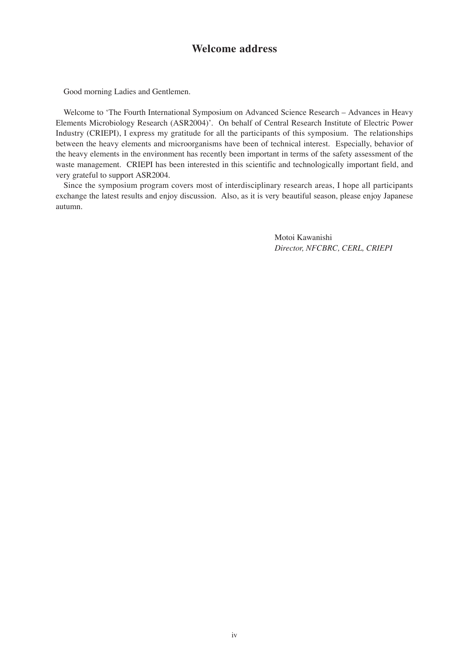#### **Welcome address**

Good morning Ladies and Gentlemen.

Welcome to 'The Fourth International Symposium on Advanced Science Research – Advances in Heavy Elements Microbiology Research (ASR2004)'. On behalf of Central Research Institute of Electric Power Industry (CRIEPI), I express my gratitude for all the participants of this symposium. The relationships between the heavy elements and microorganisms have been of technical interest. Especially, behavior of the heavy elements in the environment has recently been important in terms of the safety assessment of the waste management. CRIEPI has been interested in this scientific and technologically important field, and very grateful to support ASR2004.

Since the symposium program covers most of interdisciplinary research areas, I hope all participants exchange the latest results and enjoy discussion. Also, as it is very beautiful season, please enjoy Japanese autumn.

> Motoi Kawanishi *Director, NFCBRC, CERL, CRIEPI*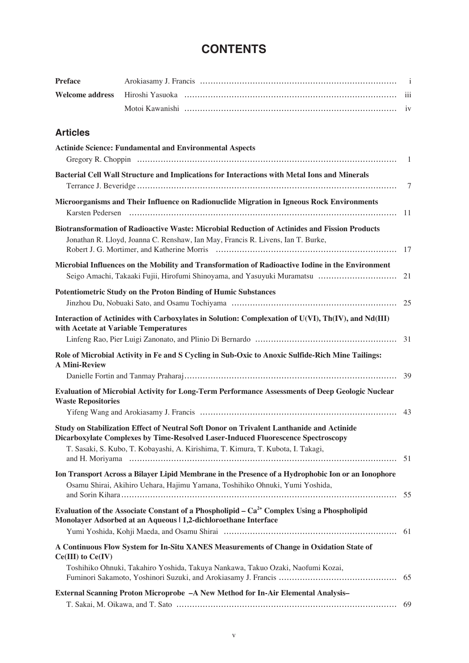## **CONTENTS**

| <b>Preface</b> |  |
|----------------|--|
|                |  |
|                |  |

#### **Articles**

| <b>Actinide Science: Fundamental and Environmental Aspects</b><br>Gregory R. Choppin (a) and the control of the control of the control of the control of the control of the control of the control of the control of the control of the control of the control of the control of the control of                             | -1   |
|-----------------------------------------------------------------------------------------------------------------------------------------------------------------------------------------------------------------------------------------------------------------------------------------------------------------------------|------|
| Bacterial Cell Wall Structure and Implications for Interactions with Metal Ions and Minerals                                                                                                                                                                                                                                | 7    |
| Microorganisms and Their Influence on Radionuclide Migration in Igneous Rock Environments<br>Karsten Pedersen (al. 1990) and the control of the control of the control of the control of the control of the control of the control of the control of the control of the control of the control of the control of the contro | 11   |
| Biotransformation of Radioactive Waste: Microbial Reduction of Actinides and Fission Products<br>Jonathan R. Lloyd, Joanna C. Renshaw, Ian May, Francis R. Livens, Ian T. Burke,                                                                                                                                            | 17   |
| Microbial Influences on the Mobility and Transformation of Radioactive Iodine in the Environment<br>Seigo Amachi, Takaaki Fujii, Hirofumi Shinoyama, and Yasuyuki Muramatsu                                                                                                                                                 | 21   |
| <b>Potentiometric Study on the Proton Binding of Humic Substances</b>                                                                                                                                                                                                                                                       |      |
| Interaction of Actinides with Carboxylates in Solution: Complexation of U(VI), Th(IV), and Nd(III)<br>with Acetate at Variable Temperatures                                                                                                                                                                                 |      |
| Role of Microbial Activity in Fe and S Cycling in Sub-Oxic to Anoxic Sulfide-Rich Mine Tailings:<br><b>A Mini-Review</b>                                                                                                                                                                                                    |      |
| Evaluation of Microbial Activity for Long-Term Performance Assessments of Deep Geologic Nuclear<br><b>Waste Repositories</b>                                                                                                                                                                                                | 43   |
| Study on Stabilization Effect of Neutral Soft Donor on Trivalent Lanthanide and Actinide<br>Dicarboxylate Complexes by Time-Resolved Laser-Induced Fluorescence Spectroscopy<br>T. Sasaki, S. Kubo, T. Kobayashi, A. Kirishima, T. Kimura, T. Kubota, I. Takagi,                                                            | 51   |
| Ion Transport Across a Bilayer Lipid Membrane in the Presence of a Hydrophobic Ion or an Ionophore<br>Osamu Shirai, Akihiro Uehara, Hajimu Yamana, Toshihiko Ohnuki, Yumi Yoshida,<br>and Sorin Kihara                                                                                                                      | 55   |
| Evaluation of the Associate Constant of a Phospholipid – $Ca2+$ Complex Using a Phospholipid<br>Monolayer Adsorbed at an Aqueous   1,2-dichloroethane Interface                                                                                                                                                             | - 61 |
| A Continuous Flow System for In-Situ XANES Measurements of Change in Oxidation State of<br>$Ce(III)$ to $Ce(IV)$<br>Toshihiko Ohnuki, Takahiro Yoshida, Takuya Nankawa, Takuo Ozaki, Naofumi Kozai,                                                                                                                         | 65   |
| External Scanning Proton Microprobe - A New Method for In-Air Elemental Analysis-                                                                                                                                                                                                                                           | 69   |